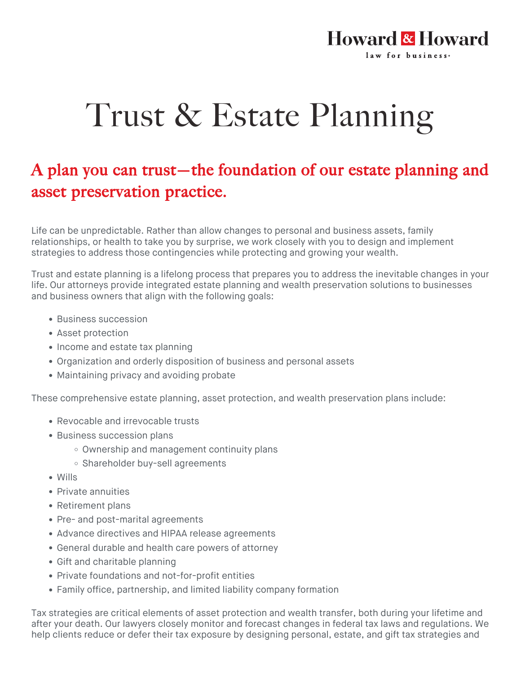## Howard & Howard law for business.

## Trust & Estate Planning

## A plan you can trust—the foundation of our estate planning and asset preservation practice.

Life can be unpredictable. Rather than allow changes to personal and business assets, family relationships, or health to take you by surprise, we work closely with you to design and implement strategies to address those contingencies while protecting and growing your wealth.

Trust and estate planning is a lifelong process that prepares you to address the inevitable changes in your life. Our attorneys provide integrated estate planning and wealth preservation solutions to businesses and business owners that align with the following goals:

- Business succession
- Asset protection
- Income and estate tax planning
- Organization and orderly disposition of business and personal assets
- Maintaining privacy and avoiding probate

These comprehensive estate planning, asset protection, and wealth preservation plans include:

- Revocable and irrevocable trusts
- Business succession plans
	- Ownership and management continuity plans
	- o Shareholder buy-sell agreements
- Wills
- Private annuities
- Retirement plans
- Pre- and post-marital agreements
- Advance directives and HIPAA release agreements
- General durable and health care powers of attorney
- Gift and charitable planning
- Private foundations and not-for-profit entities
- Family office, partnership, and limited liability company formation

Tax strategies are critical elements of asset protection and wealth transfer, both during your lifetime and after your death. Our lawyers closely monitor and forecast changes in federal tax laws and regulations. We help clients reduce or defer their tax exposure by designing personal, estate, and gift tax strategies and